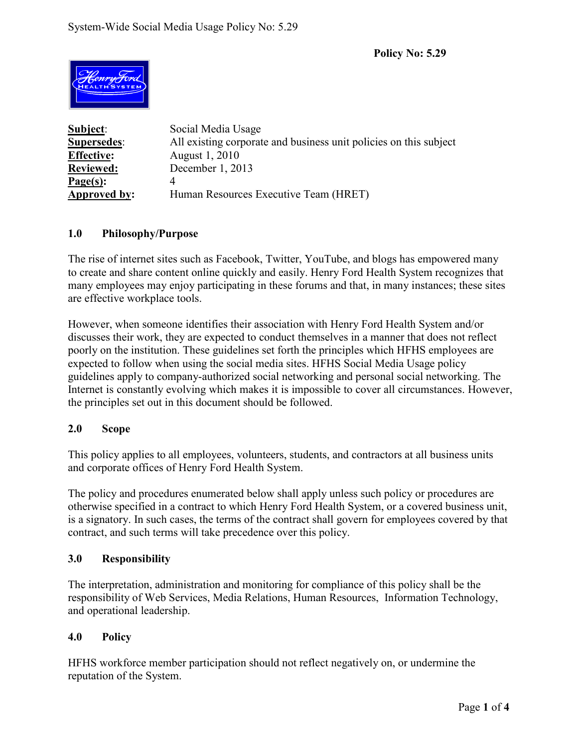**Policy No: 5.29** 



**Subject**: Social Media Usage **Supersedes**: All existing corporate and business unit policies on this subject **Effective:** August 1, 2010 **Reviewed:** December 1, 2013 **Page(s):** 4 **Approved by:** Human Resources Executive Team (HRET)

# **1.0 Philosophy/Purpose**

The rise of internet sites such as Facebook, Twitter, YouTube, and blogs has empowered many to create and share content online quickly and easily. Henry Ford Health System recognizes that many employees may enjoy participating in these forums and that, in many instances; these sites are effective workplace tools.

However, when someone identifies their association with Henry Ford Health System and/or discusses their work, they are expected to conduct themselves in a manner that does not reflect poorly on the institution. These guidelines set forth the principles which HFHS employees are expected to follow when using the social media sites. HFHS Social Media Usage policy guidelines apply to company-authorized social networking and personal social networking. The Internet is constantly evolving which makes it is impossible to cover all circumstances. However, the principles set out in this document should be followed.

# **2.0 Scope**

This policy applies to all employees, volunteers, students, and contractors at all business units and corporate offices of Henry Ford Health System.

The policy and procedures enumerated below shall apply unless such policy or procedures are otherwise specified in a contract to which Henry Ford Health System, or a covered business unit, is a signatory. In such cases, the terms of the contract shall govern for employees covered by that contract, and such terms will take precedence over this policy.

#### **3.0 Responsibility**

The interpretation, administration and monitoring for compliance of this policy shall be the responsibility of Web Services, Media Relations, Human Resources, Information Technology, and operational leadership.

#### **4.0 Policy**

HFHS workforce member participation should not reflect negatively on, or undermine the reputation of the System.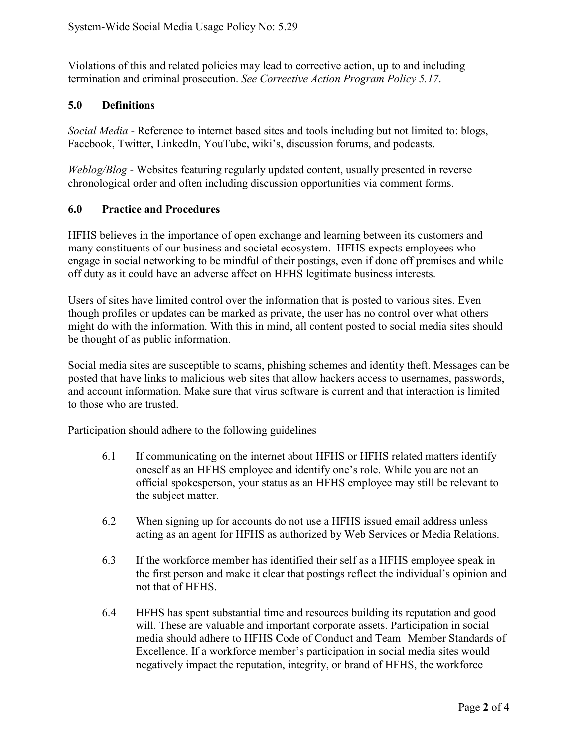Violations of this and related policies may lead to corrective action, up to and including termination and criminal prosecution. *See Corrective Action Program Policy 5.17*.

## **5.0 Definitions**

*Social Media -* Reference to internet based sites and tools including but not limited to: blogs, Facebook, Twitter, LinkedIn, YouTube, wiki's, discussion forums, and podcasts.

*Weblog/Blog -* Websites featuring regularly updated content, usually presented in reverse chronological order and often including discussion opportunities via comment forms.

### **6.0 Practice and Procedures**

HFHS believes in the importance of open exchange and learning between its customers and many constituents of our business and societal ecosystem. HFHS expects employees who engage in social networking to be mindful of their postings, even if done off premises and while off duty as it could have an adverse affect on HFHS legitimate business interests.

Users of sites have limited control over the information that is posted to various sites. Even though profiles or updates can be marked as private, the user has no control over what others might do with the information. With this in mind, all content posted to social media sites should be thought of as public information.

Social media sites are susceptible to scams, phishing schemes and identity theft. Messages can be posted that have links to malicious web sites that allow hackers access to usernames, passwords, and account information. Make sure that virus software is current and that interaction is limited to those who are trusted.

Participation should adhere to the following guidelines

- 6.1 If communicating on the internet about HFHS or HFHS related matters identify oneself as an HFHS employee and identify one's role. While you are not an official spokesperson, your status as an HFHS employee may still be relevant to the subject matter.
- 6.2 When signing up for accounts do not use a HFHS issued email address unless acting as an agent for HFHS as authorized by Web Services or Media Relations.
- 6.3 If the workforce member has identified their self as a HFHS employee speak in the first person and make it clear that postings reflect the individual's opinion and not that of HFHS.
- 6.4 HFHS has spent substantial time and resources building its reputation and good will. These are valuable and important corporate assets. Participation in social media should adhere to HFHS Code of Conduct and Team Member Standards of Excellence. If a workforce member's participation in social media sites would negatively impact the reputation, integrity, or brand of HFHS, the workforce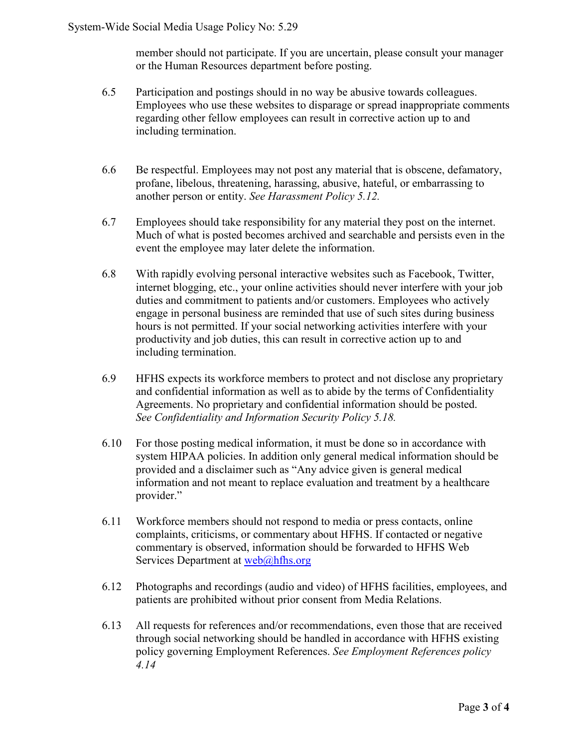member should not participate. If you are uncertain, please consult your manager or the Human Resources department before posting.

- 6.5 Participation and postings should in no way be abusive towards colleagues. Employees who use these websites to disparage or spread inappropriate comments regarding other fellow employees can result in corrective action up to and including termination.
- 6.6 Be respectful. Employees may not post any material that is obscene, defamatory, profane, libelous, threatening, harassing, abusive, hateful, or embarrassing to another person or entity. *See Harassment Policy 5.12.*
- 6.7 Employees should take responsibility for any material they post on the internet. Much of what is posted becomes archived and searchable and persists even in the event the employee may later delete the information.
- 6.8 With rapidly evolving personal interactive websites such as Facebook, Twitter, internet blogging, etc., your online activities should never interfere with your job duties and commitment to patients and/or customers. Employees who actively engage in personal business are reminded that use of such sites during business hours is not permitted. If your social networking activities interfere with your productivity and job duties, this can result in corrective action up to and including termination.
- 6.9 HFHS expects its workforce members to protect and not disclose any proprietary and confidential information as well as to abide by the terms of Confidentiality Agreements. No proprietary and confidential information should be posted. *See Confidentiality and Information Security Policy 5.18.*
- 6.10 For those posting medical information, it must be done so in accordance with system HIPAA policies. In addition only general medical information should be provided and a disclaimer such as "Any advice given is general medical information and not meant to replace evaluation and treatment by a healthcare provider."
- 6.11 Workforce members should not respond to media or press contacts, online complaints, criticisms, or commentary about HFHS. If contacted or negative commentary is observed, information should be forwarded to HFHS Web Services Department at [web@hfhs.org](mailto:web@hfhs.org)
- 6.12 Photographs and recordings (audio and video) of HFHS facilities, employees, and patients are prohibited without prior consent from Media Relations.
- 6.13 All requests for references and/or recommendations, even those that are received through social networking should be handled in accordance with HFHS existing policy governing Employment References. *See Employment References policy 4.14*